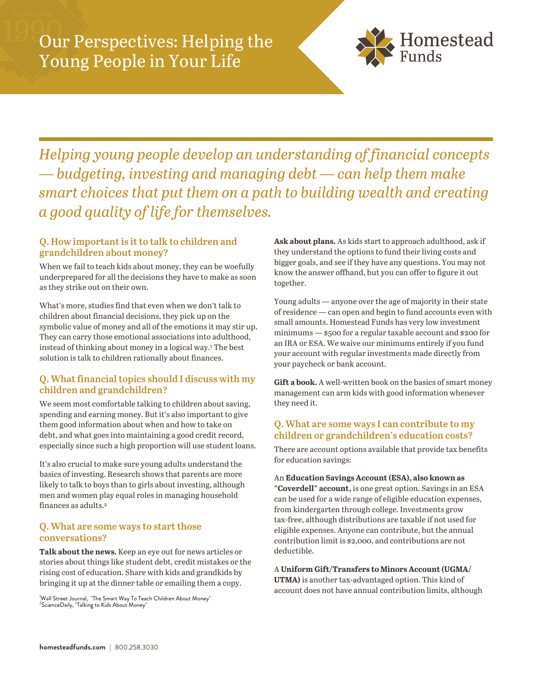

*Helping young people develop an understanding of financial concepts — budgeting, investing and managing debt — can help them make smart choices that put them on a path to building wealth and creating a good quality of life for themselves.*

# **Q. How important is it to talk to children and grandchildren about money?**

When we fail to teach kids about money, they can be woefully underprepared for all the decisions they have to make as soon as they strike out on their own.

What's more, studies find that even when we don't talk to children about financial decisions, they pick up on the symbolic value of money and all of the emotions it may stir up. They can carry those emotional associations into adulthood, instead of thinking about money in a logical way.<sup>1</sup> The best solution is talk to children rationally about finances.

## **Q. What financial topics should I discuss with my children and grandchildren?**

We seem most comfortable talking to children about saving, spending and earning money. But it's also important to give them good information about when and how to take on debt, and what goes into maintaining a good credit record, especially since such a high proportion will use student loans.

It's also crucial to make sure young adults understand the basics of investing. Research shows that parents are more likely to talk to boys than to girls about investing, although men and women play equal roles in managing household finances as adults.<sup>2</sup>

### **Q. What are some ways to start those conversations?**

**Talk about the news.** Keep an eye out for news articles or stories about things like student debt, credit mistakes or the rising cost of education. Share with kids and grandkids by bringing it up at the dinner table or emailing them a copy.

.<br><sup>1</sup>Nall Street Journal, "The Smart Way To Teach Children About Money"<br><sup>2</sup>ScienceDaily, "Talking to Kids About Money"

**Ask about plans.** As kids start to approach adulthood, ask if they understand the options to fund their living costs and bigger goals, and see if they have any questions. You may not know the answer offhand, but you can offer to figure it out together.

Young adults — anyone over the age of majority in their state of residence — can open and begin to fund accounts even with small amounts. Homestead Funds has very low investment minimums — \$500 for a regular taxable account and \$200 for an IRA or ESA. We waive our minimums entirely if you fund your account with regular investments made directly from your paycheck or bank account.

**Gift a book.** A well-written book on the basics of smart money management can arm kids with good information whenever they need it.

## **Q. What are some ways I can contribute to my children or grandchildren's education costs?**

There are account options available that provide tax benefits for education savings:

An **Education Savings Account (ESA), also known as "Coverdell" account,** is one great option. Savings in an ESA can be used for a wide range of eligible education expenses, from kindergarten through college. Investments grow tax-free, although distributions are taxable if not used for eligible expenses. Anyone can contribute, but the annual contribution limit is \$2,000, and contributions are not deductible.

A **Uniform Gift/Transfers to Minors Account (UGMA/ UTMA)** is another tax-advantaged option. This kind of account does not have annual contribution limits, although